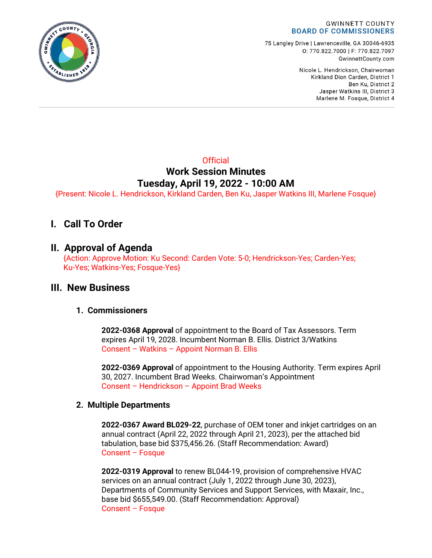

75 Langley Drive | Lawrenceville, GA 30046-6935 0:770.822.7000 | F: 770.822.7097 GwinnettCounty.com

> Nicole L. Hendrickson, Chairwoman Kirkland Dion Carden, District 1 Ben Ku. District 2 Jasper Watkins III, District 3 Marlene M. Fosque, District 4

## **Official Work Session Minutes Tuesday, April 19, 2022 - 10:00 AM**

{Present: Nicole L. Hendrickson, Kirkland Carden, Ben Ku, Jasper Watkins III, Marlene Fosque}

# **I. Call To Order**

## **II. Approval of Agenda**

{Action: Approve Motion: Ku Second: Carden Vote: 5-0; Hendrickson-Yes; Carden-Yes; Ku-Yes; Watkins-Yes; Fosque-Yes}

## **III. New Business**

### **1. Commissioners**

**2022-0368 Approval** of appointment to the Board of Tax Assessors. Term expires April 19, 2028. Incumbent Norman B. Ellis. District 3/Watkins Consent – Watkins – Appoint Norman B. Ellis

**2022-0369 Approval** of appointment to the Housing Authority. Term expires April 30, 2027. Incumbent Brad Weeks. Chairwoman's Appointment Consent – Hendrickson – Appoint Brad Weeks

### **2. Multiple Departments**

**2022-0367 Award BL029-22**, purchase of OEM toner and inkjet cartridges on an annual contract (April 22, 2022 through April 21, 2023), per the attached bid tabulation, base bid \$375,456.26. (Staff Recommendation: Award) Consent – Fosque

**2022-0319 Approval** to renew BL044-19, provision of comprehensive HVAC services on an annual contract (July 1, 2022 through June 30, 2023), Departments of Community Services and Support Services, with Maxair, Inc., base bid \$655,549.00. (Staff Recommendation: Approval) Consent – Fosque

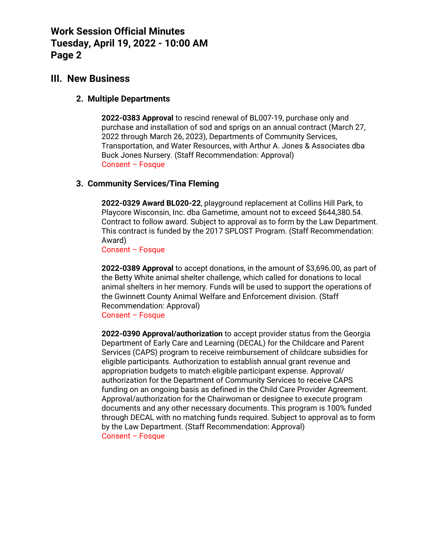### **III. New Business**

#### **2. Multiple Departments**

**2022-0383 Approval** to rescind renewal of BL007-19, purchase only and purchase and installation of sod and sprigs on an annual contract (March 27, 2022 through March 26, 2023), Departments of Community Services, Transportation, and Water Resources, with Arthur A. Jones & Associates dba Buck Jones Nursery. (Staff Recommendation: Approval) Consent – Fosque

### **3. Community Services/Tina Fleming**

**2022-0329 Award BL020-22**, playground replacement at Collins Hill Park, to Playcore Wisconsin, Inc. dba Gametime, amount not to exceed \$644,380.54. Contract to follow award. Subject to approval as to form by the Law Department. This contract is funded by the 2017 SPLOST Program. (Staff Recommendation: Award)

Consent – Fosque

**2022-0389 Approval** to accept donations, in the amount of \$3,696.00, as part of the Betty White animal shelter challenge, which called for donations to local animal shelters in her memory. Funds will be used to support the operations of the Gwinnett County Animal Welfare and Enforcement division. (Staff Recommendation: Approval) Consent – Fosque

**2022-0390 Approval/authorization** to accept provider status from the Georgia Department of Early Care and Learning (DECAL) for the Childcare and Parent Services (CAPS) program to receive reimbursement of childcare subsidies for eligible participants. Authorization to establish annual grant revenue and appropriation budgets to match eligible participant expense. Approval/ authorization for the Department of Community Services to receive CAPS funding on an ongoing basis as defined in the Child Care Provider Agreement. Approval/authorization for the Chairwoman or designee to execute program documents and any other necessary documents. This program is 100% funded through DECAL with no matching funds required. Subject to approval as to form by the Law Department. (Staff Recommendation: Approval) Consent – Fosque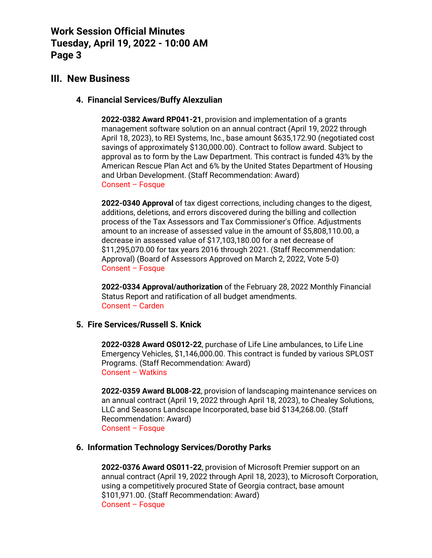## **III. New Business**

#### **4. Financial Services/Buffy Alexzulian**

**2022-0382 Award RP041-21**, provision and implementation of a grants management software solution on an annual contract (April 19, 2022 through April 18, 2023), to REI Systems, Inc., base amount \$635,172.90 (negotiated cost savings of approximately \$130,000.00). Contract to follow award. Subject to approval as to form by the Law Department. This contract is funded 43% by the American Rescue Plan Act and 6% by the United States Department of Housing and Urban Development. (Staff Recommendation: Award) Consent – Fosque

**2022-0340 Approval** of tax digest corrections, including changes to the digest, additions, deletions, and errors discovered during the billing and collection process of the Tax Assessors and Tax Commissioner's Office. Adjustments amount to an increase of assessed value in the amount of \$5,808,110.00, a decrease in assessed value of \$17,103,180.00 for a net decrease of \$11,295,070.00 for tax years 2016 through 2021. (Staff Recommendation: Approval) (Board of Assessors Approved on March 2, 2022, Vote 5-0) Consent – Fosque

**2022-0334 Approval/authorization** of the February 28, 2022 Monthly Financial Status Report and ratification of all budget amendments. Consent – Carden

#### **5. Fire Services/Russell S. Knick**

**2022-0328 Award OS012-22**, purchase of Life Line ambulances, to Life Line Emergency Vehicles, \$1,146,000.00. This contract is funded by various SPLOST Programs. (Staff Recommendation: Award) Consent – Watkins

**2022-0359 Award BL008-22**, provision of landscaping maintenance services on an annual contract (April 19, 2022 through April 18, 2023), to Chealey Solutions, LLC and Seasons Landscape Incorporated, base bid \$134,268.00. (Staff Recommendation: Award) Consent – Fosque

### **6. Information Technology Services/Dorothy Parks**

**2022-0376 Award OS011-22**, provision of Microsoft Premier support on an annual contract (April 19, 2022 through April 18, 2023), to Microsoft Corporation, using a competitively procured State of Georgia contract, base amount \$101,971.00. (Staff Recommendation: Award) Consent – Fosque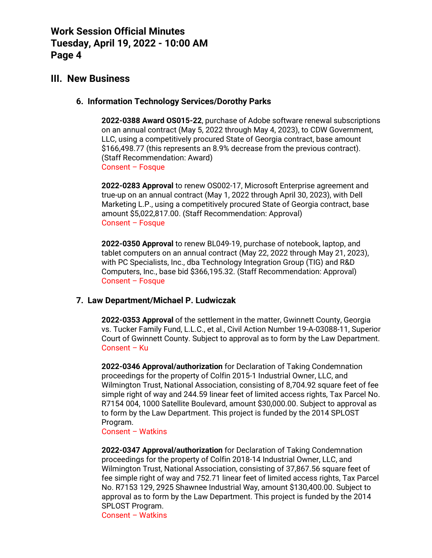## **III. New Business**

#### **6. Information Technology Services/Dorothy Parks**

**2022-0388 Award OS015-22**, purchase of Adobe software renewal subscriptions on an annual contract (May 5, 2022 through May 4, 2023), to CDW Government, LLC, using a competitively procured State of Georgia contract, base amount \$166,498.77 (this represents an 8.9% decrease from the previous contract). (Staff Recommendation: Award) Consent – Fosque

**2022-0283 Approval** to renew OS002-17, Microsoft Enterprise agreement and true-up on an annual contract (May 1, 2022 through April 30, 2023), with Dell Marketing L.P., using a competitively procured State of Georgia contract, base amount \$5,022,817.00. (Staff Recommendation: Approval) Consent – Fosque

**2022-0350 Approval** to renew BL049-19, purchase of notebook, laptop, and tablet computers on an annual contract (May 22, 2022 through May 21, 2023), with PC Specialists, Inc., dba Technology Integration Group (TIG) and R&D Computers, Inc., base bid \$366,195.32. (Staff Recommendation: Approval) Consent – Fosque

#### **7. Law Department/Michael P. Ludwiczak**

**2022-0353 Approval** of the settlement in the matter, Gwinnett County, Georgia vs. Tucker Family Fund, L.L.C., et al., Civil Action Number 19-A-03088-11, Superior Court of Gwinnett County. Subject to approval as to form by the Law Department. Consent – Ku

**2022-0346 Approval/authorization** for Declaration of Taking Condemnation proceedings for the property of Colfin 2015-1 Industrial Owner, LLC, and Wilmington Trust, National Association, consisting of 8,704.92 square feet of fee simple right of way and 244.59 linear feet of limited access rights, Tax Parcel No. R7154 004, 1000 Satellite Boulevard, amount \$30,000.00. Subject to approval as to form by the Law Department. This project is funded by the 2014 SPLOST Program.

Consent – Watkins

**2022-0347 Approval/authorization** for Declaration of Taking Condemnation proceedings for the property of Colfin 2018-14 Industrial Owner, LLC, and Wilmington Trust, National Association, consisting of 37,867.56 square feet of fee simple right of way and 752.71 linear feet of limited access rights, Tax Parcel No. R7153 129, 2925 Shawnee Industrial Way, amount \$130,400.00. Subject to approval as to form by the Law Department. This project is funded by the 2014 SPLOST Program.

Consent – Watkins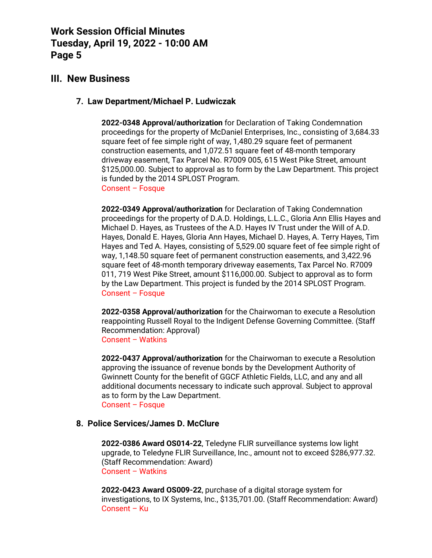## **III. New Business**

#### **7. Law Department/Michael P. Ludwiczak**

**2022-0348 Approval/authorization** for Declaration of Taking Condemnation proceedings for the property of McDaniel Enterprises, Inc., consisting of 3,684.33 square feet of fee simple right of way, 1,480.29 square feet of permanent construction easements, and 1,072.51 square feet of 48-month temporary driveway easement, Tax Parcel No. R7009 005, 615 West Pike Street, amount \$125,000.00. Subject to approval as to form by the Law Department. This project is funded by the 2014 SPLOST Program. Consent – Fosque

**2022-0349 Approval/authorization** for Declaration of Taking Condemnation proceedings for the property of D.A.D. Holdings, L.L.C., Gloria Ann Ellis Hayes and Michael D. Hayes, as Trustees of the A.D. Hayes IV Trust under the Will of A.D. Hayes, Donald E. Hayes, Gloria Ann Hayes, Michael D. Hayes, A. Terry Hayes, Tim Hayes and Ted A. Hayes, consisting of 5,529.00 square feet of fee simple right of way, 1,148.50 square feet of permanent construction easements, and 3,422.96 square feet of 48-month temporary driveway easements, Tax Parcel No. R7009 011, 719 West Pike Street, amount \$116,000.00. Subject to approval as to form by the Law Department. This project is funded by the 2014 SPLOST Program. Consent – Fosque

**2022-0358 Approval/authorization** for the Chairwoman to execute a Resolution reappointing Russell Royal to the Indigent Defense Governing Committee. (Staff Recommendation: Approval) Consent – Watkins

**2022-0437 Approval/authorization** for the Chairwoman to execute a Resolution approving the issuance of revenue bonds by the Development Authority of Gwinnett County for the benefit of GGCF Athletic Fields, LLC, and any and all additional documents necessary to indicate such approval. Subject to approval as to form by the Law Department. Consent – Fosque

#### **8. Police Services/James D. McClure**

**2022-0386 Award OS014-22**, Teledyne FLIR surveillance systems low light upgrade, to Teledyne FLIR Surveillance, Inc., amount not to exceed \$286,977.32. (Staff Recommendation: Award) Consent – Watkins

**2022-0423 Award OS009-22**, purchase of a digital storage system for investigations, to IX Systems, Inc., \$135,701.00. (Staff Recommendation: Award) Consent – Ku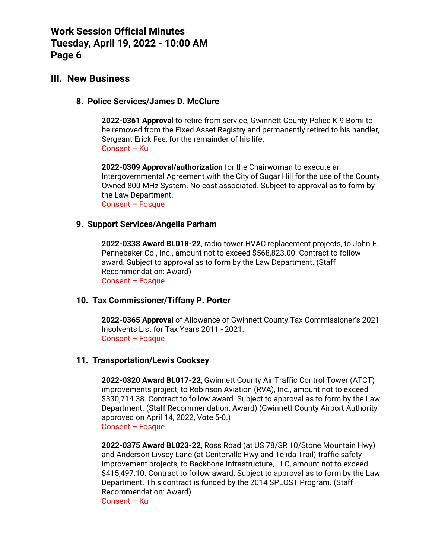## **III. New Business**

#### **8. Police Services/James D. McClure**

**2022-0361 Approval** to retire from service, Gwinnett County Police K-9 Borni to be removed from the Fixed Asset Registry and permanently retired to his handler, Sergeant Erick Fee, for the remainder of his life. Consent – Ku

**2022-0309 Approval/authorization** for the Chairwoman to execute an Intergovernmental Agreement with the City of Sugar Hill for the use of the County Owned 800 MHz System. No cost associated. Subject to approval as to form by the Law Department.

Consent – Fosque

#### **9. Support Services/Angelia Parham**

**2022-0338 Award BL018-22**, radio tower HVAC replacement projects, to John F. Pennebaker Co., Inc., amount not to exceed \$568,823.00. Contract to follow award. Subject to approval as to form by the Law Department. (Staff Recommendation: Award) Consent – Fosque

#### **10. Tax Commissioner/Tiffany P. Porter**

**2022-0365 Approval** of Allowance of Gwinnett County Tax Commissioner's 2021 Insolvents List for Tax Years 2011 - 2021. Consent – Fosque

#### **11. Transportation/Lewis Cooksey**

**2022-0320 Award BL017-22**, Gwinnett County Air Traffic Control Tower (ATCT) improvements project, to Robinson Aviation (RVA), Inc., amount not to exceed \$330,714.38. Contract to follow award. Subject to approval as to form by the Law Department. (Staff Recommendation: Award) (Gwinnett County Airport Authority approved on April 14, 2022, Vote 5-0.) Consent – Fosque

**2022-0375 Award BL023-22**, Ross Road (at US 78/SR 10/Stone Mountain Hwy) and Anderson-Livsey Lane (at Centerville Hwy and Telida Trail) traffic safety improvement projects, to Backbone Infrastructure, LLC, amount not to exceed \$415,497.10. Contract to follow award. Subject to approval as to form by the Law Department. This contract is funded by the 2014 SPLOST Program. (Staff Recommendation: Award) Consent – Ku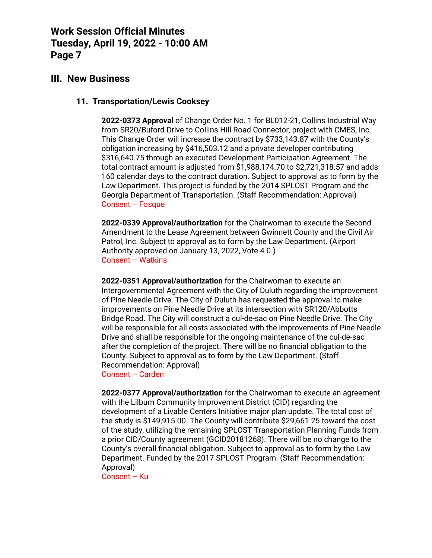## **III. New Business**

#### **11. Transportation/Lewis Cooksey**

**2022-0373 Approval** of Change Order No. 1 for BL012-21, Collins Industrial Way from SR20/Buford Drive to Collins Hill Road Connector, project with CMES, Inc. This Change Order will increase the contract by \$733,143.87 with the County's obligation increasing by \$416,503.12 and a private developer contributing \$316,640.75 through an executed Development Participation Agreement. The total contract amount is adjusted from \$1,988,174.70 to \$2,721,318.57 and adds 160 calendar days to the contract duration. Subject to approval as to form by the Law Department. This project is funded by the 2014 SPLOST Program and the Georgia Department of Transportation. (Staff Recommendation: Approval) Consent – Fosque

**2022-0339 Approval/authorization** for the Chairwoman to execute the Second Amendment to the Lease Agreement between Gwinnett County and the Civil Air Patrol, Inc. Subject to approval as to form by the Law Department. (Airport Authority approved on January 13, 2022, Vote 4-0.) Consent – Watkins

**2022-0351 Approval/authorization** for the Chairwoman to execute an Intergovernmental Agreement with the City of Duluth regarding the improvement of Pine Needle Drive. The City of Duluth has requested the approval to make improvements on Pine Needle Drive at its intersection with SR120/Abbotts Bridge Road. The City will construct a cul-de-sac on Pine Needle Drive. The City will be responsible for all costs associated with the improvements of Pine Needle Drive and shall be responsible for the ongoing maintenance of the cul-de-sac after the completion of the project. There will be no financial obligation to the County. Subject to approval as to form by the Law Department. (Staff Recommendation: Approval)

Consent – Carden

**2022-0377 Approval/authorization** for the Chairwoman to execute an agreement with the Lilburn Community Improvement District (CID) regarding the development of a Livable Centers Initiative major plan update. The total cost of the study is \$149,915.00. The County will contribute \$29,661.25 toward the cost of the study, utilizing the remaining SPLOST Transportation Planning Funds from a prior CID/County agreement (GCID20181268). There will be no change to the County's overall financial obligation. Subject to approval as to form by the Law Department. Funded by the 2017 SPLOST Program. (Staff Recommendation: Approval)

Consent – Ku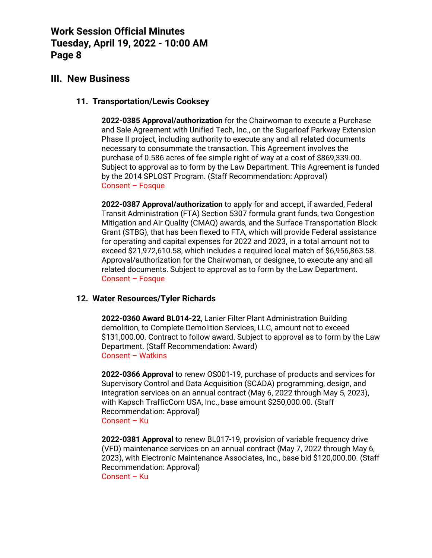## **III. New Business**

### **11. Transportation/Lewis Cooksey**

**2022-0385 Approval/authorization** for the Chairwoman to execute a Purchase and Sale Agreement with Unified Tech, Inc., on the Sugarloaf Parkway Extension Phase II project, including authority to execute any and all related documents necessary to consummate the transaction. This Agreement involves the purchase of 0.586 acres of fee simple right of way at a cost of \$869,339.00. Subject to approval as to form by the Law Department. This Agreement is funded by the 2014 SPLOST Program. (Staff Recommendation: Approval) Consent – Fosque

**2022-0387 Approval/authorization** to apply for and accept, if awarded, Federal Transit Administration (FTA) Section 5307 formula grant funds, two Congestion Mitigation and Air Quality (CMAQ) awards, and the Surface Transportation Block Grant (STBG), that has been flexed to FTA, which will provide Federal assistance for operating and capital expenses for 2022 and 2023, in a total amount not to exceed \$21,972,610.58, which includes a required local match of \$6,956,863.58. Approval/authorization for the Chairwoman, or designee, to execute any and all related documents. Subject to approval as to form by the Law Department. Consent – Fosque

### **12. Water Resources/Tyler Richards**

**2022-0360 Award BL014-22**, Lanier Filter Plant Administration Building demolition, to Complete Demolition Services, LLC, amount not to exceed \$131,000.00. Contract to follow award. Subject to approval as to form by the Law Department. (Staff Recommendation: Award) Consent – Watkins

**2022-0366 Approval** to renew OS001-19, purchase of products and services for Supervisory Control and Data Acquisition (SCADA) programming, design, and integration services on an annual contract (May 6, 2022 through May 5, 2023), with Kapsch TrafficCom USA, Inc., base amount \$250,000.00. (Staff Recommendation: Approval) Consent – Ku

**2022-0381 Approval** to renew BL017-19, provision of variable frequency drive (VFD) maintenance services on an annual contract (May 7, 2022 through May 6, 2023), with Electronic Maintenance Associates, Inc., base bid \$120,000.00. (Staff Recommendation: Approval) Consent – Ku